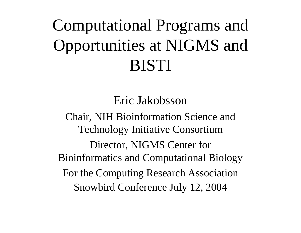# Computational Programs and Opportunities at NIGMS and BISTI

Eric Jakobsson

Chair, NIH Bioinformation Science and Technology Initiative Consortium Director, NIGMS Center for Bioinformatics and Computational Biology For the Computing Research Association Snowbird Conference July 12, 2004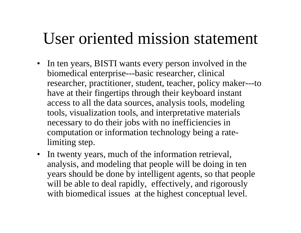### User oriented mission statement

- In ten years, BISTI wants every person involved in the biomedical enterprise---basic researcher, clinical researcher, practitioner, student, teacher, policy maker---to have at their fingertips through their keyboard instant access to all the data sources, analysis tools, modeling tools, visualization tools, and interpretative materials necessary to do their jobs with no inefficiencies in computation or information technology being a ratelimiting step.
- $\bullet$  In twenty years, much of the information retrieval, analysis, and modeling that people will be doing in ten years should be done by intelligent agents, so that people will be able to deal rapidly, effectively, and rigorously with biomedical issues at the highest conceptual level.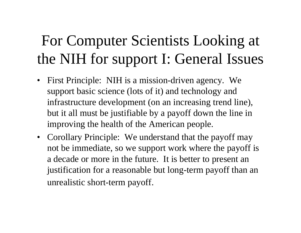## For Computer Scientists Looking at the NIH for support I: General Issues

- $\bullet$  First Principle: NIH is a mission-driven agency. We support basic science (lots of it) and technology and infrastructure development (on an increasing trend line), but it all must be justifiable by a payoff down the line in improving the health of the American people.
- Corollary Principle: We understand that the payoff may not be immediate, so we support work where the payoff is a decade or more in the future. It is better to present an justification for a reasonable but long-term payoff than an unrealistic short-term payoff.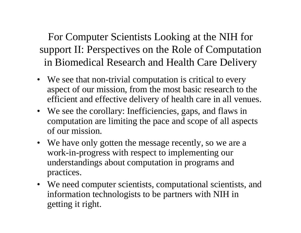For Computer Scientists Looking at the NIH for support II: Perspectives on the Role of Computation in Biomedical Research and Health Care Delivery

- We see that non-trivial computation is critical to every aspect of our mission, from the most basic research to the efficient and effective delivery of health care in all venues.
- We see the corollary: Inefficiencies, gaps, and flaws in computation are limiting the pace and scope of all aspects of our mission.
- We have only gotten the message recently, so we are a work-in-progress with respect to implementing our understandings about computation in programs and practices.
- We need computer scientists, computational scientists, and information technologists to be partners with NIH in getting it right.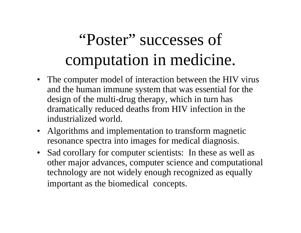# "Poster" successes of computation in medicine.

- The computer model of interaction between the HIV virus and the human immune system that was essential for the design of the multi-drug therapy, which in turn has dramatically reduced deaths from HIV infection in the industrialized world.
- Algorithms and implementation to transform magnetic resonance spectra into images for medical diagnosis.
- Sad corollary for computer scientists: In these as well as other major advances, computer science and computational technology are not widely enough recognized as equally important as the biomedical concepts.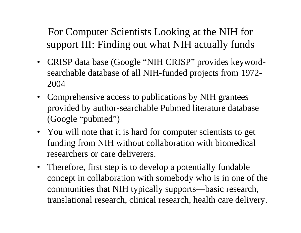For Computer Scientists Looking at the NIH for support III: Finding out what NIH actually funds

- CRISP data base (Google "NIH CRISP" provides keywordsearchable database of all NIH-funded projects from 1972- 2004
- Comprehensive access to publications by NIH grantees provided by author-searchable Pubmed literature database (Google "pubmed")
- You will note that it is hard for computer scientists to get funding from NIH without collaboration with biomedical researchers or care deliverers.
- Therefore, first step is to develop a potentially fundable concept in collaboration with somebody who is in one of the communities that NIH typically supports—basic research, translational research, clinical research, health care delivery.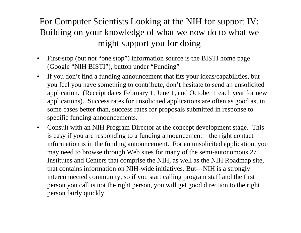#### For Computer Scientists Looking at the NIH for support IV: Building on your knowledge of what we now do to what we might support you for doing

- • First-stop (but not "one stop") information source is the BISTI home page (Google "NIH BISTI"), button under "Funding"
- $\bullet$  If you don't find a funding announcement that fits your ideas/capabilities, but you feel you have something to contribute, don't hesitate to send an unsolicited application. (Receipt dates February 1, June 1, and October 1 each year for new applications). Success rates for unsolicited applications are often as good as, in some cases better than, success rates for proposals submitted in response to specific funding announcements.
- $\bullet$  Consult with an NIH Program Director at the concept development stage. This is easy if you are responding to a funding announcement—the right contact information is in the funding announcement. For an unsolicited application, you may need to browse through Web sites for many of the semi-autonomous 27 Institutes and Centers that comprise the NIH, as well as the NIH Roadmap site, that contains information on NIH-wide initiatives. But---NIH is a strongly interconnected community, so if you start calling program staff and the first person you call is not the right person, you will get good direction to the right person fairly quickly.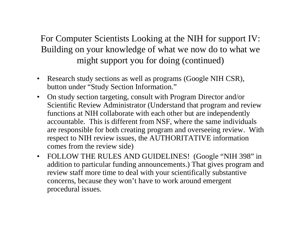#### For Computer Scientists Looking at the NIH for support IV: Building on your knowledge of what we now do to what we might support you for doing (continued)

- $\bullet$  Research study sections as well as programs (Google NIH CSR), button under "Study Section Information."
- $\bullet$  On study section targeting, consult with Program Director and/or Scientific Review Administrator (Understand that program and review functions at NIH collaborate with each other but are independently accountable. This is different from NSF, where the same individuals are responsible for both creating program and overseeing review. With respect to NIH review issues, the AUTHORITATIVE information comes from the review side)
- $\bullet$ FOLLOW THE RULES AND GUIDELINES! (Google "NIH 398" in addition to particular funding announcements.) That gives program and review staff more time to deal with your scientifically substantive concerns, because they won't have to work around emergent procedural issues.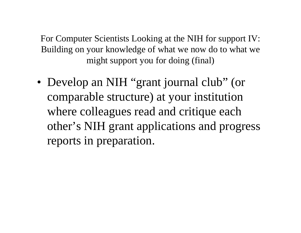For Computer Scientists Looking at the NIH for support IV: Building on your knowledge of what we now do to what we might support you for doing (final)

• Develop an NIH "grant journal club" (or comparable structure) at your institution where colleagues read and critique each other's NIH grant applications and progress reports in preparation.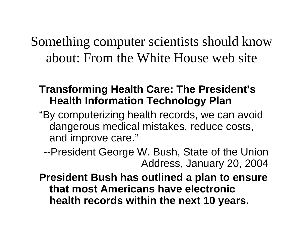Something computer scientists should know about: From the White House web site

#### **Transforming Health Care: The President's Health Information Technology Plan**

"By computerizing health records, we can avoid dangerous medical mistakes, reduce costs, and improve care."

--President George W. Bush, State of the Union Address, January 20, 2004

**President Bush has outlined a plan to ensure that most Americans have electronic health records within the next 10 years.**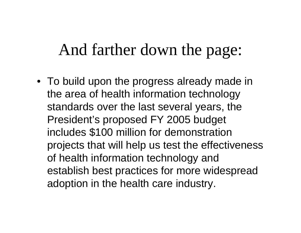### And farther down the page:

• To build upon the progress already made in the area of health information technology standards over the last several years, the President's proposed FY 2005 budget includes \$100 million for demonstration projects that will help us test the effectiveness of health information technology and establish best practices for more widespread adoption in the health care industry.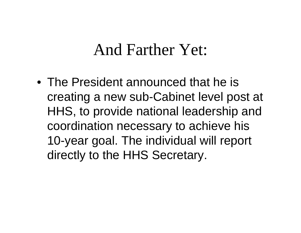### And Farther Yet:

• The President announced that he is creating a new sub-Cabinet level post at HHS, to provide national leadership and coordination necessary to achieve his 10-year goal. The individual will report directly to the HHS Secretary.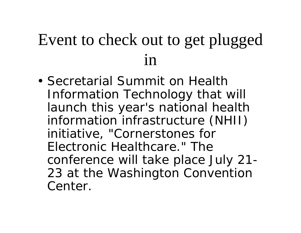## Event to check out to get plugged  $1n$

• Secretarial Summit on Health Information Technology that will launch this year's national health information infrastructure (NHII) initiative, "Cornerstones for Electronic Healthcare." The conference will take place July 21- 23 at the Washington Convention Center.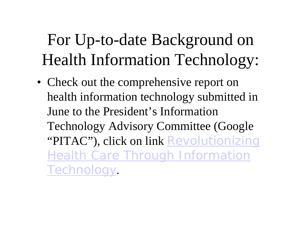## For Up-to-date Background on Health Information Technology:

• Check out the comprehensive report on health information technology submitted in June to the President's Information Technology Advisory Committee (Google "PITAC"), click on link Revolutionizing Health Care Through Information Technology.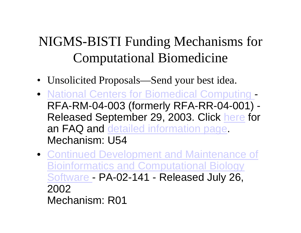#### NIGMS-BISTI Funding Mechanisms for Computational Biomedicine

- Unsolicited Proposals—Send your best idea.
- **National Centers for Biomedical Computing** - RFA-RM-04-003 (formerly RFA-RR-04-001) - Released September 29, 2003. Click here for an FAQ and detailed information page. Mechanism: U54
- Continued Development and Maintenance of Bioinformatics and Computational Biology Software - PA-02-141 - Released July 26, 2002 Mechanism: R01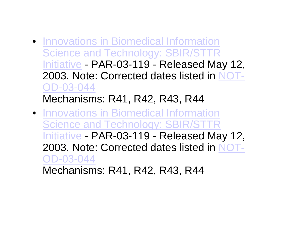- Innovations in Biomedical Information Science and Technology: SBIR/STTR Initiative - PAR-03-119 - Released May 12, 2003. Note: Corrected dates listed in NOT-OD-03-044 Mechanisms: R41, R42, R43, R44
- Innovations in Biomedical Information Science and Technology: SBIR/STTR Initiative - PAR-03-119 - Released May 12, 2003. Note: Corrected dates listed in NOT-OD-03-044 Mechanisms: R41, R42, R43, R44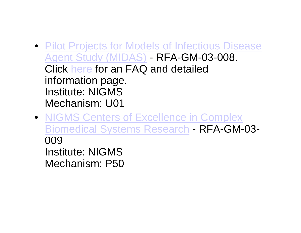- **Pilot Projects for Models of Infectious Disease** Agent Study (MIDAS) - RFA-GM-03-008. Click here for an FAQ and detailed information page. Institute: NIGMSMechanism: U01
- NIGMS Centers of Excellence in Complex Biomedical Systems Research - RFA-GM-03- 009Institute: NIGMSMechanism: P50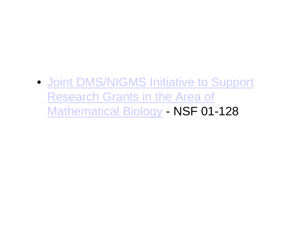#### • Joint DMS/NIGMS Initiative to Support Research Grants in the Area of Mathematical Biology - NSF 01-128